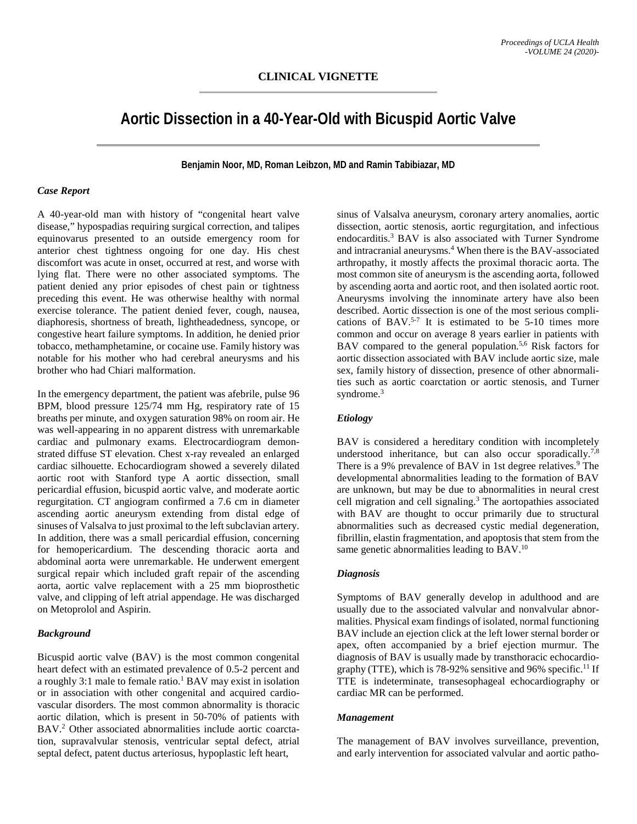# **Aortic Dissection in a 40-Year-Old with Bicuspid Aortic Valve**

**Benjamin Noor, MD, Roman Leibzon, MD and Ramin Tabibiazar, MD**

#### *Case Report*

A 40-year-old man with history of "congenital heart valve disease," hypospadias requiring surgical correction, and talipes equinovarus presented to an outside emergency room for anterior chest tightness ongoing for one day. His chest discomfort was acute in onset, occurred at rest, and worse with lying flat. There were no other associated symptoms. The patient denied any prior episodes of chest pain or tightness preceding this event. He was otherwise healthy with normal exercise tolerance. The patient denied fever, cough, nausea, diaphoresis, shortness of breath, lightheadedness, syncope, or congestive heart failure symptoms. In addition, he denied prior tobacco, methamphetamine, or cocaine use. Family history was notable for his mother who had cerebral aneurysms and his brother who had Chiari malformation.

In the emergency department, the patient was afebrile, pulse 96 BPM, blood pressure 125/74 mm Hg, respiratory rate of 15 breaths per minute, and oxygen saturation 98% on room air. He was well-appearing in no apparent distress with unremarkable cardiac and pulmonary exams. Electrocardiogram demonstrated diffuse ST elevation. Chest x-ray revealed an enlarged cardiac silhouette. Echocardiogram showed a severely dilated aortic root with Stanford type A aortic dissection, small pericardial effusion, bicuspid aortic valve, and moderate aortic regurgitation. CT angiogram confirmed a 7.6 cm in diameter ascending aortic aneurysm extending from distal edge of sinuses of Valsalva to just proximal to the left subclavian artery. In addition, there was a small pericardial effusion, concerning for hemopericardium. The descending thoracic aorta and abdominal aorta were unremarkable. He underwent emergent surgical repair which included graft repair of the ascending aorta, aortic valve replacement with a 25 mm bioprosthetic valve, and clipping of left atrial appendage. He was discharged on Metoprolol and Aspirin.

## *Background*

Bicuspid aortic valve (BAV) is the most common congenital heart defect with an estimated prevalence of 0.5-2 percent and a roughly 3:1 male to female ratio. <sup>1</sup> BAV may exist in isolation or in association with other congenital and acquired cardiovascular disorders. The most common abnormality is thoracic aortic dilation, which is present in 50-70% of patients with BAV.2 Other associated abnormalities include aortic coarctation, supravalvular stenosis, ventricular septal defect, atrial septal defect, patent ductus arteriosus, hypoplastic left heart,

sinus of Valsalva aneurysm, coronary artery anomalies, aortic dissection, aortic stenosis, aortic regurgitation, and infectious endocarditis. <sup>3</sup> BAV is also associated with Turner Syndrome and intracranial aneurysms. <sup>4</sup> When there is the BAV-associated arthropathy, it mostly affects the proximal thoracic aorta. The most common site of aneurysm is the ascending aorta, followed by ascending aorta and aortic root, and then isolated aortic root. Aneurysms involving the innominate artery have also been described. Aortic dissection is one of the most serious complications of BAV.<sup>5-7</sup> It is estimated to be 5-10 times more common and occur on average 8 years earlier in patients with BAV compared to the general population.<sup>5,6</sup> Risk factors for aortic dissection associated with BAV include aortic size, male sex, family history of dissection, presence of other abnormalities such as aortic coarctation or aortic stenosis, and Turner syndrome. 3

## *Etiology*

BAV is considered a hereditary condition with incompletely understood inheritance, but can also occur sporadically.<sup>7,8</sup> There is a 9% prevalence of BAV in 1st degree relatives.<sup>9</sup> The developmental abnormalities leading to the formation of BAV are unknown, but may be due to abnormalities in neural crest cell migration and cell signaling. <sup>3</sup> The aortopathies associated with BAV are thought to occur primarily due to structural abnormalities such as decreased cystic medial degeneration, fibrillin, elastin fragmentation, and apoptosis that stem from the same genetic abnormalities leading to BAV.<sup>10</sup>

#### *Diagnosis*

Symptoms of BAV generally develop in adulthood and are usually due to the associated valvular and nonvalvular abnormalities. Physical exam findings of isolated, normal functioning BAV include an ejection click at the left lower sternal border or apex, often accompanied by a brief ejection murmur. The diagnosis of BAV is usually made by transthoracic echocardiography (TTE), which is 78-92% sensitive and 96% specific.<sup>11</sup> If TTE is indeterminate, transesophageal echocardiography or cardiac MR can be performed.

#### *Management*

The management of BAV involves surveillance, prevention, and early intervention for associated valvular and aortic patho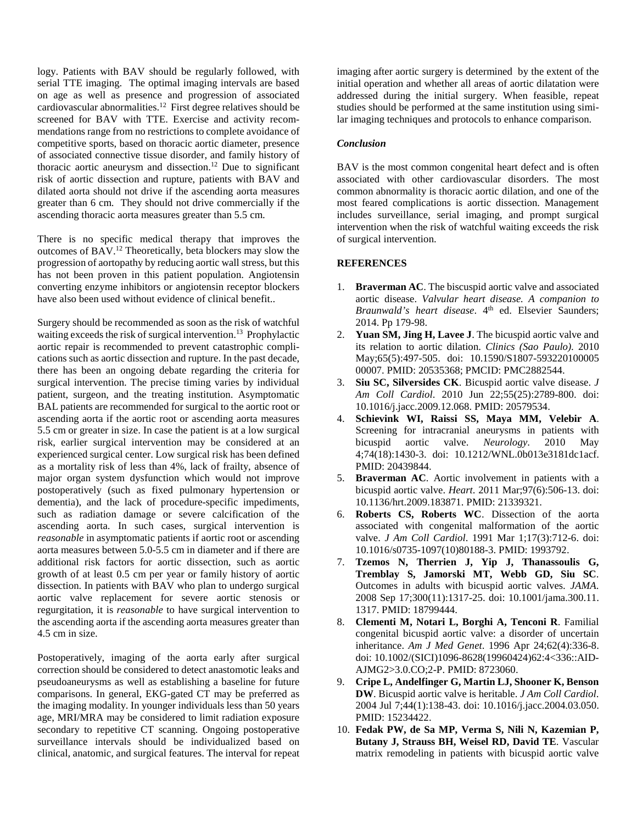logy. Patients with BAV should be regularly followed, with serial TTE imaging. The optimal imaging intervals are based on age as well as presence and progression of associated cardiovascular abnormalities. <sup>12</sup> First degree relatives should be screened for BAV with TTE. Exercise and activity recommendations range from no restrictions to complete avoidance of competitive sports, based on thoracic aortic diameter, presence of associated connective tissue disorder, and family history of thoracic aortic aneurysm and dissection. <sup>12</sup> Due to significant risk of aortic dissection and rupture, patients with BAV and dilated aorta should not drive if the ascending aorta measures greater than 6 cm. They should not drive commercially if the ascending thoracic aorta measures greater than 5.5 cm.

There is no specific medical therapy that improves the outcomes of BAV. <sup>12</sup> Theoretically, beta blockers may slow the progression of aortopathy by reducing aortic wall stress, but this has not been proven in this patient population. Angiotensin converting enzyme inhibitors or angiotensin receptor blockers have also been used without evidence of clinical benefit..

Surgery should be recommended as soon as the risk of watchful waiting exceeds the risk of surgical intervention. <sup>13</sup> Prophylactic aortic repair is recommended to prevent catastrophic complications such as aortic dissection and rupture. In the past decade, there has been an ongoing debate regarding the criteria for surgical intervention. The precise timing varies by individual patient, surgeon, and the treating institution. Asymptomatic BAL patients are recommended for surgical to the aortic root or ascending aorta if the aortic root or ascending aorta measures 5.5 cm or greater in size. In case the patient is at a low surgical risk, earlier surgical intervention may be considered at an experienced surgical center. Low surgical risk has been defined as a mortality risk of less than 4%, lack of frailty, absence of major organ system dysfunction which would not improve postoperatively (such as fixed pulmonary hypertension or dementia), and the lack of procedure-specific impediments, such as radiation damage or severe calcification of the ascending aorta. In such cases, surgical intervention is *reasonable* in asymptomatic patients if aortic root or ascending aorta measures between 5.0-5.5 cm in diameter and if there are additional risk factors for aortic dissection, such as aortic growth of at least 0.5 cm per year or family history of aortic dissection. In patients with BAV who plan to undergo surgical aortic valve replacement for severe aortic stenosis or regurgitation, it is *reasonable* to have surgical intervention to the ascending aorta if the ascending aorta measures greater than 4.5 cm in size.

Postoperatively, imaging of the aorta early after surgical correction should be considered to detect anastomotic leaks and pseudoaneurysms as well as establishing a baseline for future comparisons. In general, EKG-gated CT may be preferred as the imaging modality. In younger individuals less than 50 years age, MRI/MRA may be considered to limit radiation exposure secondary to repetitive CT scanning. Ongoing postoperative surveillance intervals should be individualized based on clinical, anatomic, and surgical features. The interval for repeat

imaging after aortic surgery is determined by the extent of the initial operation and whether all areas of aortic dilatation were addressed during the initial surgery. When feasible, repeat studies should be performed at the same institution using similar imaging techniques and protocols to enhance comparison.

### *Conclusion*

BAV is the most common congenital heart defect and is often associated with other cardiovascular disorders. The most common abnormality is thoracic aortic dilation, and one of the most feared complications is aortic dissection. Management includes surveillance, serial imaging, and prompt surgical intervention when the risk of watchful waiting exceeds the risk of surgical intervention.

## **REFERENCES**

- 1. **Braverman AC**. The biscuspid aortic valve and associated aortic disease. *Valvular heart disease. A companion to Braunwald's heart disease*. 4<sup>th</sup> ed. Elsevier Saunders; 2014. Pp 179-98.
- 2. **Yuan SM, Jing H, Lavee J**. The bicuspid aortic valve and its relation to aortic dilation. *Clinics (Sao Paulo)*. 2010 May;65(5):497-505. doi: 10.1590/S1807-593220100005 00007. PMID: 20535368; PMCID: PMC2882544.
- 3. **Siu SC, Silversides CK**. Bicuspid aortic valve disease. *J Am Coll Cardiol*. 2010 Jun 22;55(25):2789-800. doi: 10.1016/j.jacc.2009.12.068. PMID: 20579534.
- 4. **Schievink WI, Raissi SS, Maya MM, Velebir A**. Screening for intracranial aneurysms in patients with bicuspid aortic valve. *Neurology*. 2010 May 4;74(18):1430-3. doi: 10.1212/WNL.0b013e3181dc1acf. PMID: 20439844.
- 5. **Braverman AC**. Aortic involvement in patients with a bicuspid aortic valve. *Heart*. 2011 Mar;97(6):506-13. doi: 10.1136/hrt.2009.183871. PMID: 21339321.
- 6. **Roberts CS, Roberts WC**. Dissection of the aorta associated with congenital malformation of the aortic valve. *J Am Coll Cardiol*. 1991 Mar 1;17(3):712-6. doi: 10.1016/s0735-1097(10)80188-3. PMID: 1993792.
- 7. **Tzemos N, Therrien J, Yip J, Thanassoulis G, Tremblay S, Jamorski MT, Webb GD, Siu SC**. Outcomes in adults with bicuspid aortic valves. *JAMA*. 2008 Sep 17;300(11):1317-25. doi: 10.1001/jama.300.11. 1317. PMID: 18799444.
- 8. **Clementi M, Notari L, Borghi A, Tenconi R**. Familial congenital bicuspid aortic valve: a disorder of uncertain inheritance. *Am J Med Genet*. 1996 Apr 24;62(4):336-8. doi: 10.1002/(SICI)1096-8628(19960424)62:4<336::AID-AJMG2>3.0.CO;2-P. PMID: 8723060.
- 9. **Cripe L, Andelfinger G, Martin LJ, Shooner K, Benson DW**. Bicuspid aortic valve is heritable. *J Am Coll Cardiol*. 2004 Jul 7;44(1):138-43. doi: 10.1016/j.jacc.2004.03.050. PMID: 15234422.
- 10. **Fedak PW, de Sa MP, Verma S, Nili N, Kazemian P, Butany J, Strauss BH, Weisel RD, David TE**. Vascular matrix remodeling in patients with bicuspid aortic valve